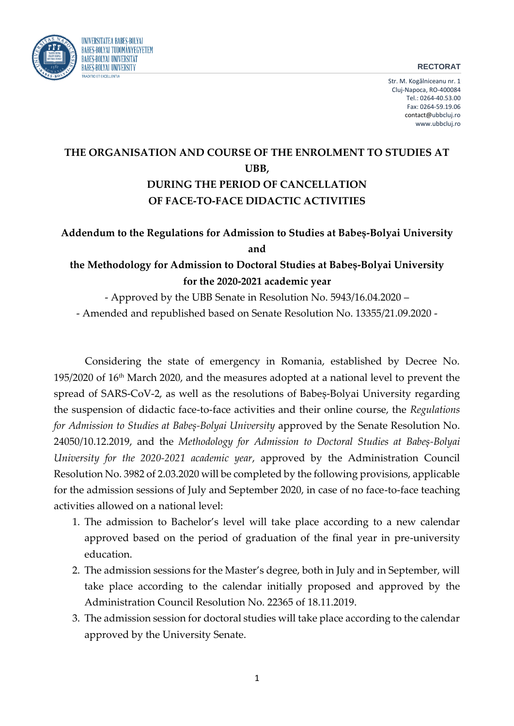## **RECTORAT**



Str. M. Kogălniceanu nr. 1 Cluj-Napoca, RO-400084 Tel.: 0264-40.53.00 Fax: 0264-59.19.06 contact@ubbcluj.ro www.ubbcluj.ro

## **THE ORGANISATION AND COURSE OF THE ENROLMENT TO STUDIES AT UBB, DURING THE PERIOD OF CANCELLATION OF FACE-TO-FACE DIDACTIC ACTIVITIES**

## **Addendum to the Regulations for Admission to Studies at Babeș-Bolyai University and**

## **the Methodology for Admission to Doctoral Studies at Babeș-Bolyai University for the 2020-2021 academic year**

- Approved by the UBB Senate in Resolution No. 5943/16.04.2020 – - Amended and republished based on Senate Resolution No. 13355/21.09.2020 -

Considering the state of emergency in Romania, established by Decree No. 195/2020 of 16<sup>th</sup> March 2020, and the measures adopted at a national level to prevent the spread of SARS-CoV-2, as well as the resolutions of Babeș-Bolyai University regarding the suspension of didactic face-to-face activities and their online course, the *Regulations for Admission to Studies at Babeș-Bolyai University* approved by the Senate Resolution No. 24050/10.12.2019, and the *Methodology for Admission to Doctoral Studies at Babeș-Bolyai University for the 2020-2021 academic year*, approved by the Administration Council Resolution No. 3982 of 2.03.2020 will be completed by the following provisions, applicable for the admission sessions of July and September 2020, in case of no face-to-face teaching activities allowed on a national level:

- 1. The admission to Bachelor's level will take place according to a new calendar approved based on the period of graduation of the final year in pre-university education.
- 2. The admission sessions for the Master's degree, both in July and in September, will take place according to the calendar initially proposed and approved by the Administration Council Resolution No. 22365 of 18.11.2019.
- 3. The admission session for doctoral studies will take place according to the calendar approved by the University Senate.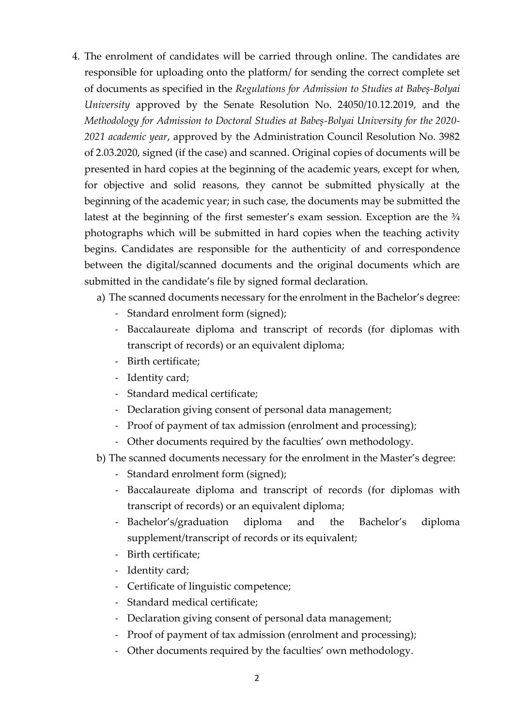- 4. The enrolment of candidates will be carried through online. The candidates are responsible for uploading onto the platform/ for sending the correct complete set of documents as specified in the *Regulations for Admission to Studies at Babeș-Bolyai University* approved by the Senate Resolution No. 24050/10.12.2019, and the *Methodology for Admission to Doctoral Studies at Babeș-Bolyai University for the 2020- 2021 academic year*, approved by the Administration Council Resolution No. 3982 of 2.03.2020, signed (if the case) and scanned. Original copies of documents will be presented in hard copies at the beginning of the academic years, except for when, for objective and solid reasons, they cannot be submitted physically at the beginning of the academic year; in such case, the documents may be submitted the latest at the beginning of the first semester's exam session. Exception are the  $\frac{3}{4}$ photographs which will be submitted in hard copies when the teaching activity begins. Candidates are responsible for the authenticity of and correspondence between the digital/scanned documents and the original documents which are submitted in the candidate's file by signed formal declaration.
	- a) The scanned documents necessary for the enrolment in the Bachelor's degree:
		- Standard enrolment form (signed);
		- Baccalaureate diploma and transcript of records (for diplomas with transcript of records) or an equivalent diploma;
		- Birth certificate;
		- Identity card;
		- Standard medical certificate;
		- Declaration giving consent of personal data management;
		- Proof of payment of tax admission (enrolment and processing);
		- Other documents required by the faculties' own methodology.
	- b) The scanned documents necessary for the enrolment in the Master's degree:
		- Standard enrolment form (signed);
		- Baccalaureate diploma and transcript of records (for diplomas with transcript of records) or an equivalent diploma;
		- Bachelor's/graduation diploma and the Bachelor's diploma supplement/transcript of records or its equivalent;
		- Birth certificate;
		- Identity card;
		- Certificate of linguistic competence;
		- Standard medical certificate;
		- Declaration giving consent of personal data management;
		- Proof of payment of tax admission (enrolment and processing);
		- Other documents required by the faculties' own methodology.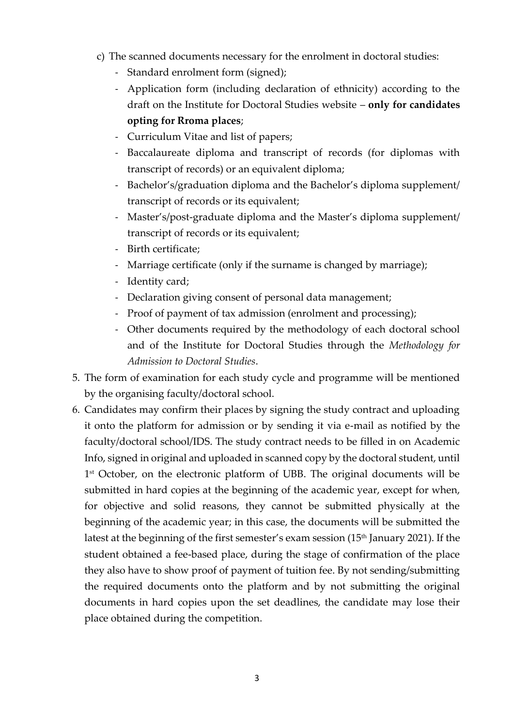- c) The scanned documents necessary for the enrolment in doctoral studies:
	- Standard enrolment form (signed);
	- Application form (including declaration of ethnicity) according to the draft on the Institute for Doctoral Studies website – **only for candidates opting for Rroma places**;
	- Curriculum Vitae and list of papers;
	- Baccalaureate diploma and transcript of records (for diplomas with transcript of records) or an equivalent diploma;
	- Bachelor's/graduation diploma and the Bachelor's diploma supplement/ transcript of records or its equivalent;
	- Master's/post-graduate diploma and the Master's diploma supplement/ transcript of records or its equivalent;
	- Birth certificate;
	- Marriage certificate (only if the surname is changed by marriage);
	- Identity card;
	- Declaration giving consent of personal data management;
	- Proof of payment of tax admission (enrolment and processing);
	- Other documents required by the methodology of each doctoral school and of the Institute for Doctoral Studies through the *Methodology for Admission to Doctoral Studies*.
- 5. The form of examination for each study cycle and programme will be mentioned by the organising faculty/doctoral school.
- 6. Candidates may confirm their places by signing the study contract and uploading it onto the platform for admission or by sending it via e-mail as notified by the faculty/doctoral school/IDS. The study contract needs to be filled in on Academic Info, signed in original and uploaded in scanned copy by the doctoral student, until 1<sup>st</sup> October, on the electronic platform of UBB. The original documents will be submitted in hard copies at the beginning of the academic year, except for when, for objective and solid reasons, they cannot be submitted physically at the beginning of the academic year; in this case, the documents will be submitted the latest at the beginning of the first semester's exam session (15<sup>th</sup> January 2021). If the student obtained a fee-based place, during the stage of confirmation of the place they also have to show proof of payment of tuition fee. By not sending/submitting the required documents onto the platform and by not submitting the original documents in hard copies upon the set deadlines, the candidate may lose their place obtained during the competition.